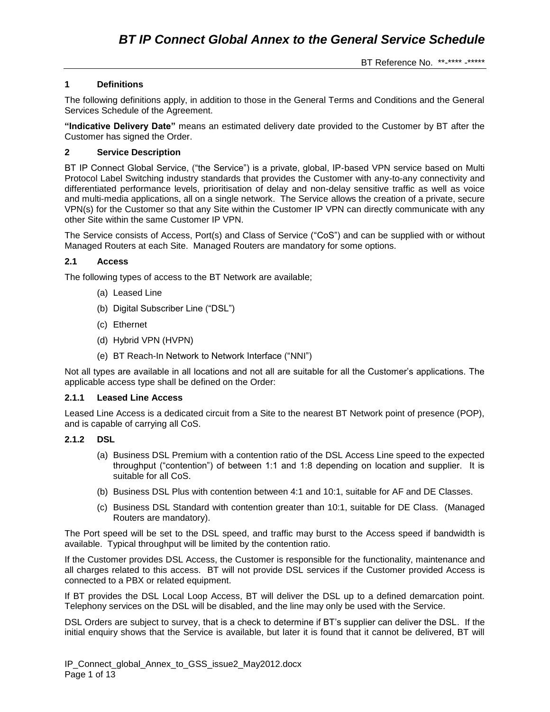# **1 Definitions**

The following definitions apply, in addition to those in the General Terms and Conditions and the General Services Schedule of the Agreement.

**"Indicative Delivery Date"** means an estimated delivery date provided to the Customer by BT after the Customer has signed the Order.

### **2 Service Description**

BT IP Connect Global Service, ("the Service") is a private, global, IP-based VPN service based on Multi Protocol Label Switching industry standards that provides the Customer with any-to-any connectivity and differentiated performance levels, prioritisation of delay and non-delay sensitive traffic as well as voice and multi-media applications, all on a single network. The Service allows the creation of a private, secure VPN(s) for the Customer so that any Site within the Customer IP VPN can directly communicate with any other Site within the same Customer IP VPN.

The Service consists of Access, Port(s) and Class of Service ("CoS") and can be supplied with or without Managed Routers at each Site. Managed Routers are mandatory for some options.

## **2.1 Access**

The following types of access to the BT Network are available;

- (a) Leased Line
- (b) Digital Subscriber Line ("DSL")
- (c) Ethernet
- (d) Hybrid VPN (HVPN)
- (e) BT Reach-In Network to Network Interface ("NNI")

Not all types are available in all locations and not all are suitable for all the Customer's applications. The applicable access type shall be defined on the Order:

### **2.1.1 Leased Line Access**

Leased Line Access is a dedicated circuit from a Site to the nearest BT Network point of presence (POP), and is capable of carrying all CoS.

### **2.1.2 DSL**

- (a) Business DSL Premium with a contention ratio of the DSL Access Line speed to the expected throughput ("contention") of between 1:1 and 1:8 depending on location and supplier. It is suitable for all CoS.
- (b) Business DSL Plus with contention between 4:1 and 10:1, suitable for AF and DE Classes.
- (c) Business DSL Standard with contention greater than 10:1, suitable for DE Class. (Managed Routers are mandatory).

The Port speed will be set to the DSL speed, and traffic may burst to the Access speed if bandwidth is available. Typical throughput will be limited by the contention ratio.

If the Customer provides DSL Access, the Customer is responsible for the functionality, maintenance and all charges related to this access. BT will not provide DSL services if the Customer provided Access is connected to a PBX or related equipment.

If BT provides the DSL Local Loop Access, BT will deliver the DSL up to a defined demarcation point. Telephony services on the DSL will be disabled, and the line may only be used with the Service.

DSL Orders are subject to survey, that is a check to determine if BT's supplier can deliver the DSL. If the initial enquiry shows that the Service is available, but later it is found that it cannot be delivered, BT will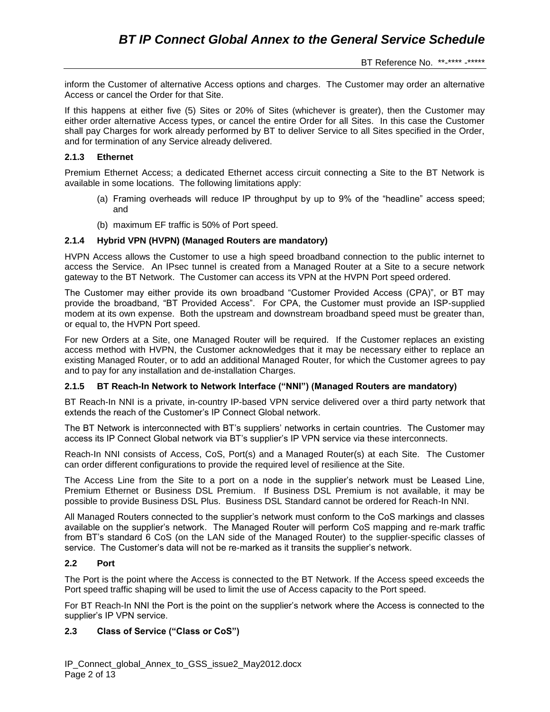inform the Customer of alternative Access options and charges. The Customer may order an alternative Access or cancel the Order for that Site.

If this happens at either five (5) Sites or 20% of Sites (whichever is greater), then the Customer may either order alternative Access types, or cancel the entire Order for all Sites. In this case the Customer shall pay Charges for work already performed by BT to deliver Service to all Sites specified in the Order, and for termination of any Service already delivered.

### **2.1.3 Ethernet**

Premium Ethernet Access; a dedicated Ethernet access circuit connecting a Site to the BT Network is available in some locations. The following limitations apply:

- (a) Framing overheads will reduce IP throughput by up to 9% of the "headline" access speed; and
- (b) maximum EF traffic is 50% of Port speed.

## **2.1.4 Hybrid VPN (HVPN) (Managed Routers are mandatory)**

HVPN Access allows the Customer to use a high speed broadband connection to the public internet to access the Service. An IPsec tunnel is created from a Managed Router at a Site to a secure network gateway to the BT Network. The Customer can access its VPN at the HVPN Port speed ordered.

The Customer may either provide its own broadband "Customer Provided Access (CPA)", or BT may provide the broadband, "BT Provided Access". For CPA, the Customer must provide an ISP-supplied modem at its own expense. Both the upstream and downstream broadband speed must be greater than, or equal to, the HVPN Port speed.

For new Orders at a Site, one Managed Router will be required. If the Customer replaces an existing access method with HVPN, the Customer acknowledges that it may be necessary either to replace an existing Managed Router, or to add an additional Managed Router, for which the Customer agrees to pay and to pay for any installation and de-installation Charges.

### **2.1.5 BT Reach-In Network to Network Interface ("NNI") (Managed Routers are mandatory)**

BT Reach-In NNI is a private, in-country IP-based VPN service delivered over a third party network that extends the reach of the Customer's IP Connect Global network.

The BT Network is interconnected with BT's suppliers' networks in certain countries. The Customer may access its IP Connect Global network via BT's supplier's IP VPN service via these interconnects.

Reach-In NNI consists of Access, CoS, Port(s) and a Managed Router(s) at each Site. The Customer can order different configurations to provide the required level of resilience at the Site.

The Access Line from the Site to a port on a node in the supplier's network must be Leased Line, Premium Ethernet or Business DSL Premium. If Business DSL Premium is not available, it may be possible to provide Business DSL Plus. Business DSL Standard cannot be ordered for Reach-In NNI.

All Managed Routers connected to the supplier's network must conform to the CoS markings and classes available on the supplier's network. The Managed Router will perform CoS mapping and re-mark traffic from BT's standard 6 CoS (on the LAN side of the Managed Router) to the supplier-specific classes of service. The Customer's data will not be re-marked as it transits the supplier's network.

### **2.2 Port**

The Port is the point where the Access is connected to the BT Network. If the Access speed exceeds the Port speed traffic shaping will be used to limit the use of Access capacity to the Port speed.

For BT Reach-In NNI the Port is the point on the supplier's network where the Access is connected to the supplier's IP VPN service.

### **2.3 Class of Service ("Class or CoS")**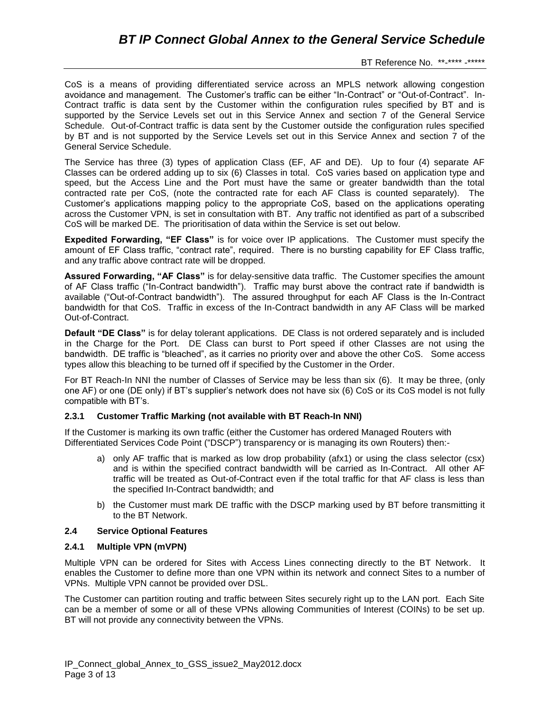CoS is a means of providing differentiated service across an MPLS network allowing congestion avoidance and management. The Customer's traffic can be either "In-Contract" or "Out-of-Contract". In-Contract traffic is data sent by the Customer within the configuration rules specified by BT and is supported by the Service Levels set out in this Service Annex and section 7 of the General Service Schedule. Out-of-Contract traffic is data sent by the Customer outside the configuration rules specified by BT and is not supported by the Service Levels set out in this Service Annex and section 7 of the General Service Schedule.

The Service has three (3) types of application Class (EF, AF and DE). Up to four (4) separate AF Classes can be ordered adding up to six (6) Classes in total. CoS varies based on application type and speed, but the Access Line and the Port must have the same or greater bandwidth than the total contracted rate per CoS, (note the contracted rate for each AF Class is counted separately). The Customer's applications mapping policy to the appropriate CoS, based on the applications operating across the Customer VPN, is set in consultation with BT. Any traffic not identified as part of a subscribed CoS will be marked DE. The prioritisation of data within the Service is set out below.

**Expedited Forwarding, "EF Class"** is for voice over IP applications. The Customer must specify the amount of EF Class traffic, "contract rate", required. There is no bursting capability for EF Class traffic, and any traffic above contract rate will be dropped.

**Assured Forwarding, "AF Class"** is for delay-sensitive data traffic. The Customer specifies the amount of AF Class traffic ("In-Contract bandwidth"). Traffic may burst above the contract rate if bandwidth is available ("Out-of-Contract bandwidth"). The assured throughput for each AF Class is the In-Contract bandwidth for that CoS. Traffic in excess of the In-Contract bandwidth in any AF Class will be marked Out-of-Contract.

**Default "DE Class"** is for delay tolerant applications. DE Class is not ordered separately and is included in the Charge for the Port. DE Class can burst to Port speed if other Classes are not using the bandwidth. DE traffic is "bleached", as it carries no priority over and above the other CoS. Some access types allow this bleaching to be turned off if specified by the Customer in the Order.

For BT Reach-In NNI the number of Classes of Service may be less than six (6). It may be three, (only one AF) or one (DE only) if BT's supplier's network does not have six (6) CoS or its CoS model is not fully compatible with BT's.

### **2.3.1 Customer Traffic Marking (not available with BT Reach-In NNI)**

If the Customer is marking its own traffic (either the Customer has ordered Managed Routers with Differentiated Services Code Point ("DSCP") transparency or is managing its own Routers) then:-

- a) only AF traffic that is marked as low drop probability (afx1) or using the class selector (csx) and is within the specified contract bandwidth will be carried as In-Contract. All other AF traffic will be treated as Out-of-Contract even if the total traffic for that AF class is less than the specified In-Contract bandwidth; and
- b) the Customer must mark DE traffic with the DSCP marking used by BT before transmitting it to the BT Network.

# **2.4 Service Optional Features**

### **2.4.1 Multiple VPN (mVPN)**

Multiple VPN can be ordered for Sites with Access Lines connecting directly to the BT Network. It enables the Customer to define more than one VPN within its network and connect Sites to a number of VPNs. Multiple VPN cannot be provided over DSL.

The Customer can partition routing and traffic between Sites securely right up to the LAN port. Each Site can be a member of some or all of these VPNs allowing Communities of Interest (COINs) to be set up. BT will not provide any connectivity between the VPNs.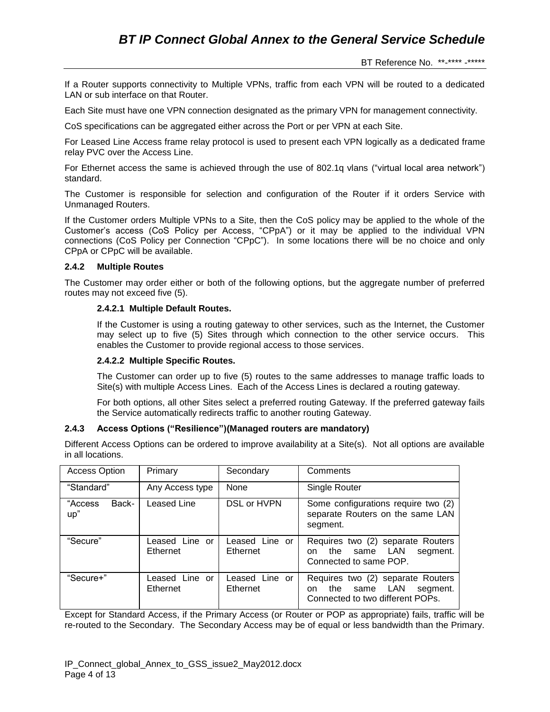If a Router supports connectivity to Multiple VPNs, traffic from each VPN will be routed to a dedicated LAN or sub interface on that Router.

Each Site must have one VPN connection designated as the primary VPN for management connectivity.

CoS specifications can be aggregated either across the Port or per VPN at each Site.

For Leased Line Access frame relay protocol is used to present each VPN logically as a dedicated frame relay PVC over the Access Line.

For Ethernet access the same is achieved through the use of 802.1q vlans ("virtual local area network") standard.

The Customer is responsible for selection and configuration of the Router if it orders Service with Unmanaged Routers.

If the Customer orders Multiple VPNs to a Site, then the CoS policy may be applied to the whole of the Customer's access (CoS Policy per Access, "CPpA") or it may be applied to the individual VPN connections (CoS Policy per Connection "CPpC"). In some locations there will be no choice and only CPpA or CPpC will be available.

### **2.4.2 Multiple Routes**

The Customer may order either or both of the following options, but the aggregate number of preferred routes may not exceed five (5).

## **2.4.2.1 Multiple Default Routes.**

If the Customer is using a routing gateway to other services, such as the Internet, the Customer may select up to five (5) Sites through which connection to the other service occurs. This enables the Customer to provide regional access to those services.

### **2.4.2.2 Multiple Specific Routes.**

The Customer can order up to five (5) routes to the same addresses to manage traffic loads to Site(s) with multiple Access Lines. Each of the Access Lines is declared a routing gateway.

For both options, all other Sites select a preferred routing Gateway. If the preferred gateway fails the Service automatically redirects traffic to another routing Gateway.

### **2.4.3 Access Options ("Resilience")(Managed routers are mandatory)**

Different Access Options can be ordered to improve availability at a Site(s). Not all options are available in all locations.

| <b>Access Option</b>    | Primary                    | Secondary                  | Comments                                                                                                              |
|-------------------------|----------------------------|----------------------------|-----------------------------------------------------------------------------------------------------------------------|
| "Standard"              | Any Access type            | <b>None</b>                | Single Router                                                                                                         |
| Back-<br>"Access<br>up" | Leased Line                | DSL or HVPN                | Some configurations require two (2)<br>separate Routers on the same LAN<br>segment.                                   |
| "Secure"                | Leased Line or<br>Ethernet | Leased Line or<br>Ethernet | Requires two (2) separate Routers<br>same LAN<br>the<br>segment.<br>on.<br>Connected to same POP.                     |
| "Secure+"               | Leased Line or<br>Ethernet | Leased Line or<br>Ethernet | Requires two (2) separate Routers<br><b>LAN</b><br>segment.<br>the<br>same<br>on.<br>Connected to two different POPs. |

Except for Standard Access, if the Primary Access (or Router or POP as appropriate) fails, traffic will be re-routed to the Secondary. The Secondary Access may be of equal or less bandwidth than the Primary.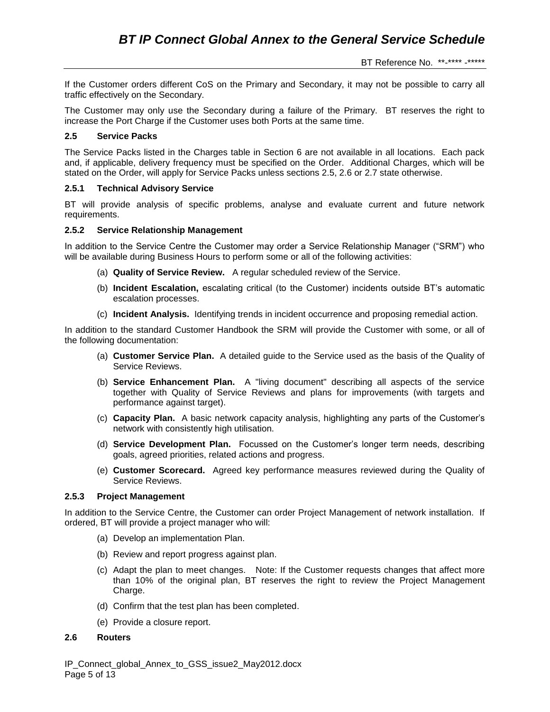If the Customer orders different CoS on the Primary and Secondary, it may not be possible to carry all traffic effectively on the Secondary.

The Customer may only use the Secondary during a failure of the Primary. BT reserves the right to increase the Port Charge if the Customer uses both Ports at the same time.

# **2.5 Service Packs**

The Service Packs listed in the Charges table in Section 6 are not available in all locations. Each pack and, if applicable, delivery frequency must be specified on the Order. Additional Charges, which will be stated on the Order, will apply for Service Packs unless sections 2.5, 2.6 or 2.7 state otherwise.

### **2.5.1 Technical Advisory Service**

BT will provide analysis of specific problems, analyse and evaluate current and future network requirements.

### **2.5.2 Service Relationship Management**

In addition to the Service Centre the Customer may order a Service Relationship Manager ("SRM") who will be available during Business Hours to perform some or all of the following activities:

- (a) **Quality of Service Review.** A regular scheduled review of the Service.
- (b) **Incident Escalation,** escalating critical (to the Customer) incidents outside BT's automatic escalation processes.
- (c) **Incident Analysis.** Identifying trends in incident occurrence and proposing remedial action.

In addition to the standard Customer Handbook the SRM will provide the Customer with some, or all of the following documentation:

- (a) **Customer Service Plan.** A detailed guide to the Service used as the basis of the Quality of Service Reviews.
- (b) **Service Enhancement Plan.** A "living document" describing all aspects of the service together with Quality of Service Reviews and plans for improvements (with targets and performance against target).
- (c) **Capacity Plan.** A basic network capacity analysis, highlighting any parts of the Customer's network with consistently high utilisation.
- (d) **Service Development Plan.** Focussed on the Customer's longer term needs, describing goals, agreed priorities, related actions and progress.
- (e) **Customer Scorecard.** Agreed key performance measures reviewed during the Quality of Service Reviews.

### **2.5.3 Project Management**

In addition to the Service Centre, the Customer can order Project Management of network installation. If ordered, BT will provide a project manager who will:

- (a) Develop an implementation Plan.
- (b) Review and report progress against plan.
- (c) Adapt the plan to meet changes. Note: If the Customer requests changes that affect more than 10% of the original plan, BT reserves the right to review the Project Management Charge.
- (d) Confirm that the test plan has been completed.
- (e) Provide a closure report.

### **2.6 Routers**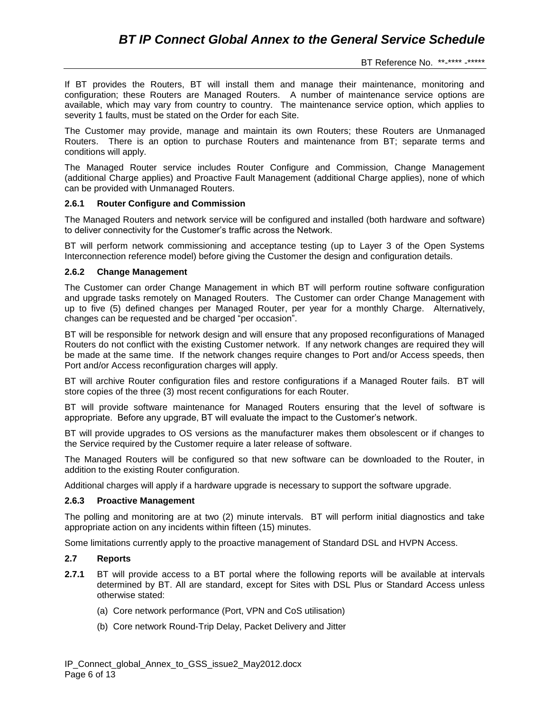If BT provides the Routers, BT will install them and manage their maintenance, monitoring and configuration; these Routers are Managed Routers. A number of maintenance service options are available, which may vary from country to country. The maintenance service option, which applies to severity 1 faults, must be stated on the Order for each Site.

The Customer may provide, manage and maintain its own Routers; these Routers are Unmanaged Routers. There is an option to purchase Routers and maintenance from BT; separate terms and conditions will apply.

The Managed Router service includes Router Configure and Commission, Change Management (additional Charge applies) and Proactive Fault Management (additional Charge applies), none of which can be provided with Unmanaged Routers.

## **2.6.1 Router Configure and Commission**

The Managed Routers and network service will be configured and installed (both hardware and software) to deliver connectivity for the Customer's traffic across the Network.

BT will perform network commissioning and acceptance testing (up to Layer 3 of the Open Systems Interconnection reference model) before giving the Customer the design and configuration details.

## **2.6.2 Change Management**

The Customer can order Change Management in which BT will perform routine software configuration and upgrade tasks remotely on Managed Routers. The Customer can order Change Management with up to five (5) defined changes per Managed Router, per year for a monthly Charge. Alternatively, changes can be requested and be charged "per occasion".

BT will be responsible for network design and will ensure that any proposed reconfigurations of Managed Routers do not conflict with the existing Customer network. If any network changes are required they will be made at the same time. If the network changes require changes to Port and/or Access speeds, then Port and/or Access reconfiguration charges will apply.

BT will archive Router configuration files and restore configurations if a Managed Router fails. BT will store copies of the three (3) most recent configurations for each Router.

BT will provide software maintenance for Managed Routers ensuring that the level of software is appropriate. Before any upgrade, BT will evaluate the impact to the Customer's network.

BT will provide upgrades to OS versions as the manufacturer makes them obsolescent or if changes to the Service required by the Customer require a later release of software.

The Managed Routers will be configured so that new software can be downloaded to the Router, in addition to the existing Router configuration.

Additional charges will apply if a hardware upgrade is necessary to support the software upgrade.

### **2.6.3 Proactive Management**

The polling and monitoring are at two (2) minute intervals. BT will perform initial diagnostics and take appropriate action on any incidents within fifteen (15) minutes.

Some limitations currently apply to the proactive management of Standard DSL and HVPN Access.

### **2.7 Reports**

- **2.7.1** BT will provide access to a BT portal where the following reports will be available at intervals determined by BT. All are standard, except for Sites with DSL Plus or Standard Access unless otherwise stated:
	- (a) Core network performance (Port, VPN and CoS utilisation)
	- (b) Core network Round-Trip Delay, Packet Delivery and Jitter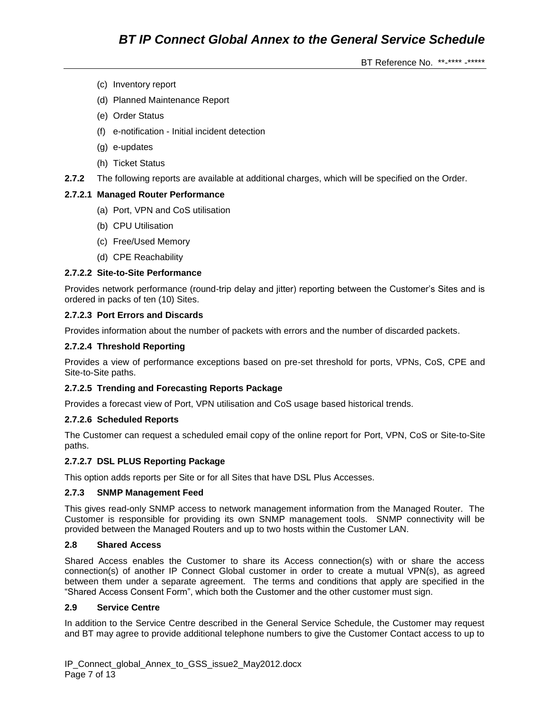- (c) Inventory report
- (d) Planned Maintenance Report
- (e) Order Status
- (f) e-notification Initial incident detection
- (g) e-updates
- (h) Ticket Status
- **2.7.2** The following reports are available at additional charges, which will be specified on the Order.

## **2.7.2.1 Managed Router Performance**

- (a) Port, VPN and CoS utilisation
- (b) CPU Utilisation
- (c) Free/Used Memory
- (d) CPE Reachability

## **2.7.2.2 Site-to-Site Performance**

Provides network performance (round-trip delay and jitter) reporting between the Customer's Sites and is ordered in packs of ten (10) Sites.

## **2.7.2.3 Port Errors and Discards**

Provides information about the number of packets with errors and the number of discarded packets.

## **2.7.2.4 Threshold Reporting**

Provides a view of performance exceptions based on pre-set threshold for ports, VPNs, CoS, CPE and Site-to-Site paths.

### **2.7.2.5 Trending and Forecasting Reports Package**

Provides a forecast view of Port, VPN utilisation and CoS usage based historical trends.

### **2.7.2.6 Scheduled Reports**

The Customer can request a scheduled email copy of the online report for Port, VPN, CoS or Site-to-Site paths.

### **2.7.2.7 DSL PLUS Reporting Package**

This option adds reports per Site or for all Sites that have DSL Plus Accesses.

### **2.7.3 SNMP Management Feed**

This gives read-only SNMP access to network management information from the Managed Router. The Customer is responsible for providing its own SNMP management tools. SNMP connectivity will be provided between the Managed Routers and up to two hosts within the Customer LAN.

### **2.8 Shared Access**

Shared Access enables the Customer to share its Access connection(s) with or share the access connection(s) of another IP Connect Global customer in order to create a mutual VPN(s), as agreed between them under a separate agreement. The terms and conditions that apply are specified in the "Shared Access Consent Form", which both the Customer and the other customer must sign.

### **2.9 Service Centre**

In addition to the Service Centre described in the General Service Schedule, the Customer may request and BT may agree to provide additional telephone numbers to give the Customer Contact access to up to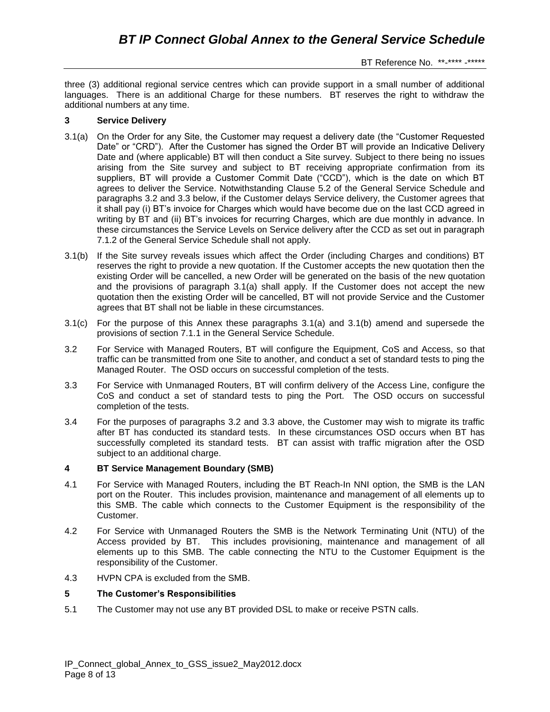three (3) additional regional service centres which can provide support in a small number of additional languages. There is an additional Charge for these numbers. BT reserves the right to withdraw the additional numbers at any time.

## **3 Service Delivery**

- 3.1(a) On the Order for any Site, the Customer may request a delivery date (the "Customer Requested Date" or "CRD"). After the Customer has signed the Order BT will provide an Indicative Delivery Date and (where applicable) BT will then conduct a Site survey. Subject to there being no issues arising from the Site survey and subject to BT receiving appropriate confirmation from its suppliers, BT will provide a Customer Commit Date ("CCD"), which is the date on which BT agrees to deliver the Service. Notwithstanding Clause 5.2 of the General Service Schedule and paragraphs 3.2 and 3.3 below, if the Customer delays Service delivery, the Customer agrees that it shall pay (i) BT's invoice for Charges which would have become due on the last CCD agreed in writing by BT and (ii) BT's invoices for recurring Charges, which are due monthly in advance. In these circumstances the Service Levels on Service delivery after the CCD as set out in paragraph 7.1.2 of the General Service Schedule shall not apply.
- 3.1(b) If the Site survey reveals issues which affect the Order (including Charges and conditions) BT reserves the right to provide a new quotation. If the Customer accepts the new quotation then the existing Order will be cancelled, a new Order will be generated on the basis of the new quotation and the provisions of paragraph 3.1(a) shall apply. If the Customer does not accept the new quotation then the existing Order will be cancelled, BT will not provide Service and the Customer agrees that BT shall not be liable in these circumstances.
- 3.1(c) For the purpose of this Annex these paragraphs 3.1(a) and 3.1(b) amend and supersede the provisions of section 7.1.1 in the General Service Schedule.
- 3.2 For Service with Managed Routers, BT will configure the Equipment, CoS and Access, so that traffic can be transmitted from one Site to another, and conduct a set of standard tests to ping the Managed Router. The OSD occurs on successful completion of the tests.
- 3.3 For Service with Unmanaged Routers, BT will confirm delivery of the Access Line, configure the CoS and conduct a set of standard tests to ping the Port. The OSD occurs on successful completion of the tests.
- 3.4 For the purposes of paragraphs 3.2 and 3.3 above, the Customer may wish to migrate its traffic after BT has conducted its standard tests. In these circumstances OSD occurs when BT has successfully completed its standard tests. BT can assist with traffic migration after the OSD subject to an additional charge.

# **4 BT Service Management Boundary (SMB)**

- 4.1 For Service with Managed Routers, including the BT Reach-In NNI option, the SMB is the LAN port on the Router. This includes provision, maintenance and management of all elements up to this SMB. The cable which connects to the Customer Equipment is the responsibility of the Customer.
- 4.2 For Service with Unmanaged Routers the SMB is the Network Terminating Unit (NTU) of the Access provided by BT. This includes provisioning, maintenance and management of all elements up to this SMB. The cable connecting the NTU to the Customer Equipment is the responsibility of the Customer.
- 4.3 HVPN CPA is excluded from the SMB.

### **5 The Customer's Responsibilities**

5.1 The Customer may not use any BT provided DSL to make or receive PSTN calls.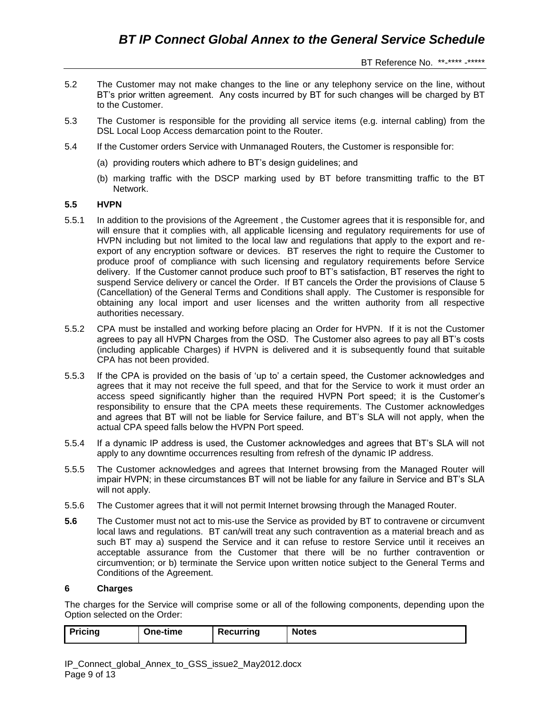- 5.2 The Customer may not make changes to the line or any telephony service on the line, without BT's prior written agreement. Any costs incurred by BT for such changes will be charged by BT to the Customer.
- 5.3 The Customer is responsible for the providing all service items (e.g. internal cabling) from the DSL Local Loop Access demarcation point to the Router.
- 5.4 If the Customer orders Service with Unmanaged Routers, the Customer is responsible for:
	- (a) providing routers which adhere to BT's design guidelines; and
	- (b) marking traffic with the DSCP marking used by BT before transmitting traffic to the BT Network.

## **5.5 HVPN**

- 5.5.1 In addition to the provisions of the Agreement , the Customer agrees that it is responsible for, and will ensure that it complies with, all applicable licensing and regulatory requirements for use of HVPN including but not limited to the local law and regulations that apply to the export and reexport of any encryption software or devices. BT reserves the right to require the Customer to produce proof of compliance with such licensing and regulatory requirements before Service delivery. If the Customer cannot produce such proof to BT's satisfaction, BT reserves the right to suspend Service delivery or cancel the Order. If BT cancels the Order the provisions of Clause 5 (Cancellation) of the General Terms and Conditions shall apply. The Customer is responsible for obtaining any local import and user licenses and the written authority from all respective authorities necessary.
- 5.5.2 CPA must be installed and working before placing an Order for HVPN. If it is not the Customer agrees to pay all HVPN Charges from the OSD. The Customer also agrees to pay all BT's costs (including applicable Charges) if HVPN is delivered and it is subsequently found that suitable CPA has not been provided.
- 5.5.3 If the CPA is provided on the basis of 'up to' a certain speed, the Customer acknowledges and agrees that it may not receive the full speed, and that for the Service to work it must order an access speed significantly higher than the required HVPN Port speed; it is the Customer's responsibility to ensure that the CPA meets these requirements. The Customer acknowledges and agrees that BT will not be liable for Service failure, and BT's SLA will not apply, when the actual CPA speed falls below the HVPN Port speed.
- 5.5.4 If a dynamic IP address is used, the Customer acknowledges and agrees that BT's SLA will not apply to any downtime occurrences resulting from refresh of the dynamic IP address.
- 5.5.5 The Customer acknowledges and agrees that Internet browsing from the Managed Router will impair HVPN; in these circumstances BT will not be liable for any failure in Service and BT's SLA will not apply.
- 5.5.6 The Customer agrees that it will not permit Internet browsing through the Managed Router.
- **5.6** The Customer must not act to mis-use the Service as provided by BT to contravene or circumvent local laws and regulations. BT can/will treat any such contravention as a material breach and as such BT may a) suspend the Service and it can refuse to restore Service until it receives an acceptable assurance from the Customer that there will be no further contravention or circumvention; or b) terminate the Service upon written notice subject to the General Terms and Conditions of the Agreement.

### **6 Charges**

The charges for the Service will comprise some or all of the following components, depending upon the Option selected on the Order:

| Pricing<br>One-time<br>Recurring | <b>Notes</b> |
|----------------------------------|--------------|
|----------------------------------|--------------|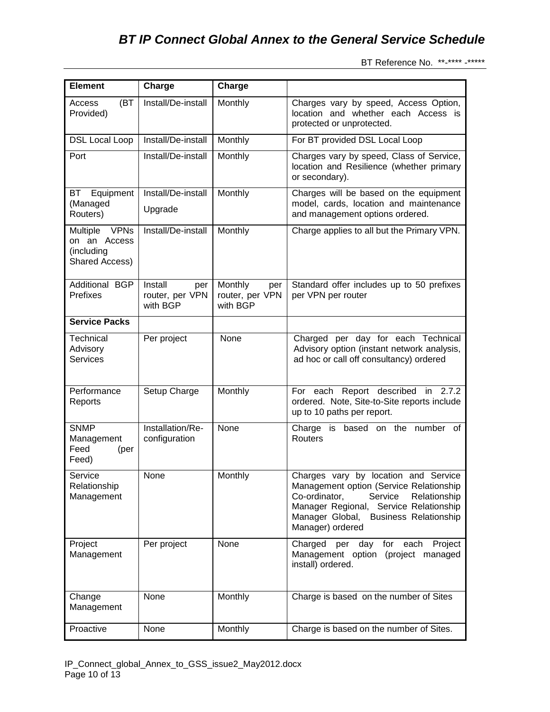| <b>Element</b>                                                          | Charge                                        | Charge                                        |                                                                                                                                                                                                                                    |
|-------------------------------------------------------------------------|-----------------------------------------------|-----------------------------------------------|------------------------------------------------------------------------------------------------------------------------------------------------------------------------------------------------------------------------------------|
| (BT<br>Access<br>Provided)                                              | Install/De-install                            | Monthly                                       | Charges vary by speed, Access Option,<br>location and whether each Access is<br>protected or unprotected.                                                                                                                          |
| <b>DSL Local Loop</b>                                                   | Install/De-install                            | Monthly                                       | For BT provided DSL Local Loop                                                                                                                                                                                                     |
| Port                                                                    | Install/De-install                            | Monthly                                       | Charges vary by speed, Class of Service,<br>location and Resilience (whether primary<br>or secondary).                                                                                                                             |
| Equipment<br>ВT                                                         | Install/De-install                            | Monthly                                       | Charges will be based on the equipment                                                                                                                                                                                             |
| (Managed<br>Routers)                                                    | Upgrade                                       |                                               | model, cards, location and maintenance<br>and management options ordered.                                                                                                                                                          |
| <b>VPNs</b><br>Multiple<br>on an Access<br>(including<br>Shared Access) | Install/De-install                            | Monthly                                       | Charge applies to all but the Primary VPN.                                                                                                                                                                                         |
| Additional BGP<br>Prefixes                                              | Install<br>per<br>router, per VPN<br>with BGP | Monthly<br>per<br>router, per VPN<br>with BGP | Standard offer includes up to 50 prefixes<br>per VPN per router                                                                                                                                                                    |
| <b>Service Packs</b>                                                    |                                               |                                               |                                                                                                                                                                                                                                    |
| Technical<br>Advisory<br><b>Services</b>                                | Per project                                   | None                                          | Charged per day for each Technical<br>Advisory option (instant network analysis,<br>ad hoc or call off consultancy) ordered                                                                                                        |
| Performance<br>Reports                                                  | Setup Charge                                  | Monthly                                       | Report described in 2.7.2<br>For each<br>ordered. Note, Site-to-Site reports include<br>up to 10 paths per report.                                                                                                                 |
| <b>SNMP</b><br>Management<br>Feed<br>(per<br>Feed)                      | Installation/Re-<br>configuration             | None                                          | Charge is<br>based on the number<br>of<br>Routers                                                                                                                                                                                  |
| Service<br>Relationship<br>Management                                   | None                                          | Monthly                                       | Charges vary by location and Service<br>Management option (Service Relationship<br>Co-ordinator,<br>Service<br>Relationship<br>Manager Regional, Service Relationship<br>Manager Global, Business Relationship<br>Manager) ordered |
| Project<br>Management                                                   | Per project                                   | None                                          | Charged<br>per day for each Project<br>Management option (project managed<br>install) ordered.                                                                                                                                     |
| Change<br>Management                                                    | None                                          | Monthly                                       | Charge is based on the number of Sites                                                                                                                                                                                             |
| Proactive                                                               | None                                          | Monthly                                       | Charge is based on the number of Sites.                                                                                                                                                                                            |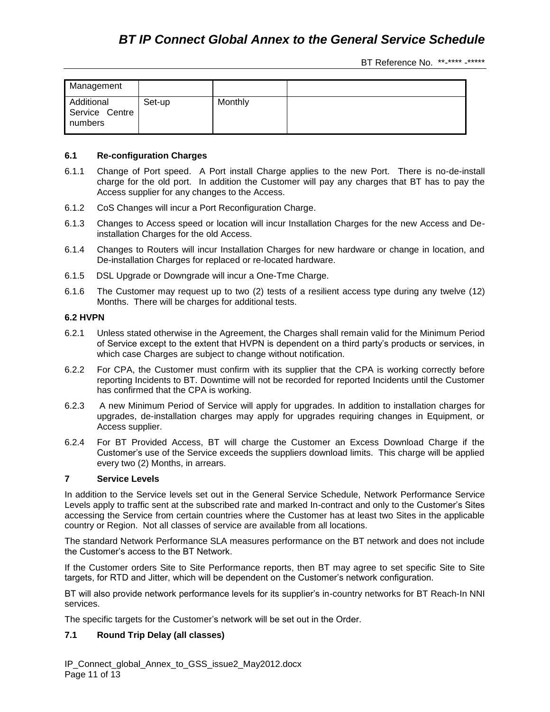| Management                              |        |         |  |
|-----------------------------------------|--------|---------|--|
| Additional<br>Service Centre<br>numbers | Set-up | Monthly |  |

### **6.1 Re-configuration Charges**

- 6.1.1 Change of Port speed. A Port install Charge applies to the new Port. There is no-de-install charge for the old port. In addition the Customer will pay any charges that BT has to pay the Access supplier for any changes to the Access.
- 6.1.2 CoS Changes will incur a Port Reconfiguration Charge.
- 6.1.3 Changes to Access speed or location will incur Installation Charges for the new Access and Deinstallation Charges for the old Access.
- 6.1.4 Changes to Routers will incur Installation Charges for new hardware or change in location, and De-installation Charges for replaced or re-located hardware.
- 6.1.5 DSL Upgrade or Downgrade will incur a One-Tme Charge.
- 6.1.6 The Customer may request up to two (2) tests of a resilient access type during any twelve (12) Months. There will be charges for additional tests.

## **6.2 HVPN**

- 6.2.1 Unless stated otherwise in the Agreement, the Charges shall remain valid for the Minimum Period of Service except to the extent that HVPN is dependent on a third party's products or services, in which case Charges are subject to change without notification.
- 6.2.2 For CPA, the Customer must confirm with its supplier that the CPA is working correctly before reporting Incidents to BT. Downtime will not be recorded for reported Incidents until the Customer has confirmed that the CPA is working.
- 6.2.3 A new Minimum Period of Service will apply for upgrades. In addition to installation charges for upgrades, de-installation charges may apply for upgrades requiring changes in Equipment, or Access supplier.
- 6.2.4 For BT Provided Access, BT will charge the Customer an Excess Download Charge if the Customer's use of the Service exceeds the suppliers download limits. This charge will be applied every two (2) Months, in arrears.

### **7 Service Levels**

In addition to the Service levels set out in the General Service Schedule, Network Performance Service Levels apply to traffic sent at the subscribed rate and marked In-contract and only to the Customer's Sites accessing the Service from certain countries where the Customer has at least two Sites in the applicable country or Region. Not all classes of service are available from all locations.

The standard Network Performance SLA measures performance on the BT network and does not include the Customer's access to the BT Network.

If the Customer orders Site to Site Performance reports, then BT may agree to set specific Site to Site targets, for RTD and Jitter, which will be dependent on the Customer's network configuration.

BT will also provide network performance levels for its supplier's in-country networks for BT Reach-In NNI services.

The specific targets for the Customer's network will be set out in the Order.

# **7.1 Round Trip Delay (all classes)**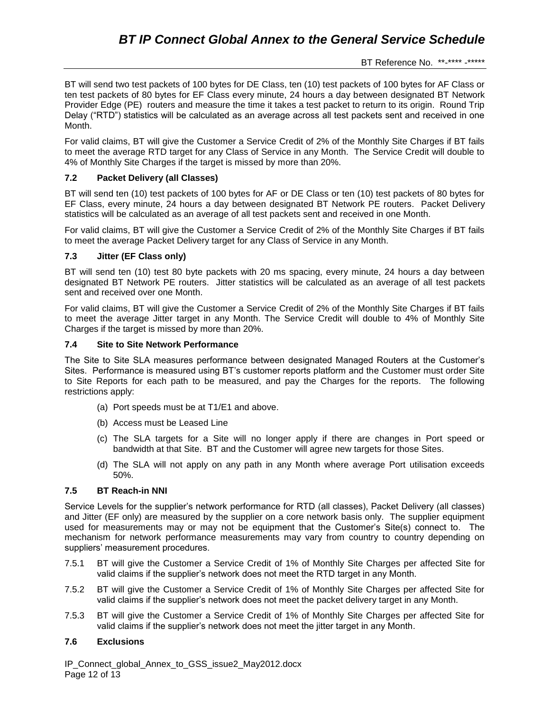BT will send two test packets of 100 bytes for DE Class, ten (10) test packets of 100 bytes for AF Class or ten test packets of 80 bytes for EF Class every minute, 24 hours a day between designated BT Network Provider Edge (PE) routers and measure the time it takes a test packet to return to its origin. Round Trip Delay ("RTD") statistics will be calculated as an average across all test packets sent and received in one Month.

For valid claims, BT will give the Customer a Service Credit of 2% of the Monthly Site Charges if BT fails to meet the average RTD target for any Class of Service in any Month. The Service Credit will double to 4% of Monthly Site Charges if the target is missed by more than 20%.

# **7.2 Packet Delivery (all Classes)**

BT will send ten (10) test packets of 100 bytes for AF or DE Class or ten (10) test packets of 80 bytes for EF Class, every minute, 24 hours a day between designated BT Network PE routers. Packet Delivery statistics will be calculated as an average of all test packets sent and received in one Month.

For valid claims, BT will give the Customer a Service Credit of 2% of the Monthly Site Charges if BT fails to meet the average Packet Delivery target for any Class of Service in any Month.

# **7.3 Jitter (EF Class only)**

BT will send ten (10) test 80 byte packets with 20 ms spacing, every minute, 24 hours a day between designated BT Network PE routers. Jitter statistics will be calculated as an average of all test packets sent and received over one Month.

For valid claims, BT will give the Customer a Service Credit of 2% of the Monthly Site Charges if BT fails to meet the average Jitter target in any Month. The Service Credit will double to 4% of Monthly Site Charges if the target is missed by more than 20%.

# **7.4 Site to Site Network Performance**

The Site to Site SLA measures performance between designated Managed Routers at the Customer's Sites. Performance is measured using BT's customer reports platform and the Customer must order Site to Site Reports for each path to be measured, and pay the Charges for the reports. The following restrictions apply:

- (a) Port speeds must be at T1/E1 and above.
- (b) Access must be Leased Line
- (c) The SLA targets for a Site will no longer apply if there are changes in Port speed or bandwidth at that Site. BT and the Customer will agree new targets for those Sites.
- (d) The SLA will not apply on any path in any Month where average Port utilisation exceeds 50%.

# **7.5 BT Reach-in NNI**

Service Levels for the supplier's network performance for RTD (all classes), Packet Delivery (all classes) and Jitter (EF only) are measured by the supplier on a core network basis only. The supplier equipment used for measurements may or may not be equipment that the Customer's Site(s) connect to. The mechanism for network performance measurements may vary from country to country depending on suppliers' measurement procedures.

- 7.5.1 BT will give the Customer a Service Credit of 1% of Monthly Site Charges per affected Site for valid claims if the supplier's network does not meet the RTD target in any Month.
- 7.5.2 BT will give the Customer a Service Credit of 1% of Monthly Site Charges per affected Site for valid claims if the supplier's network does not meet the packet delivery target in any Month.
- 7.5.3 BT will give the Customer a Service Credit of 1% of Monthly Site Charges per affected Site for valid claims if the supplier's network does not meet the jitter target in any Month.

# **7.6 Exclusions**

IP\_Connect\_global\_Annex\_to\_GSS\_issue2\_May2012.docx Page 12 of 13